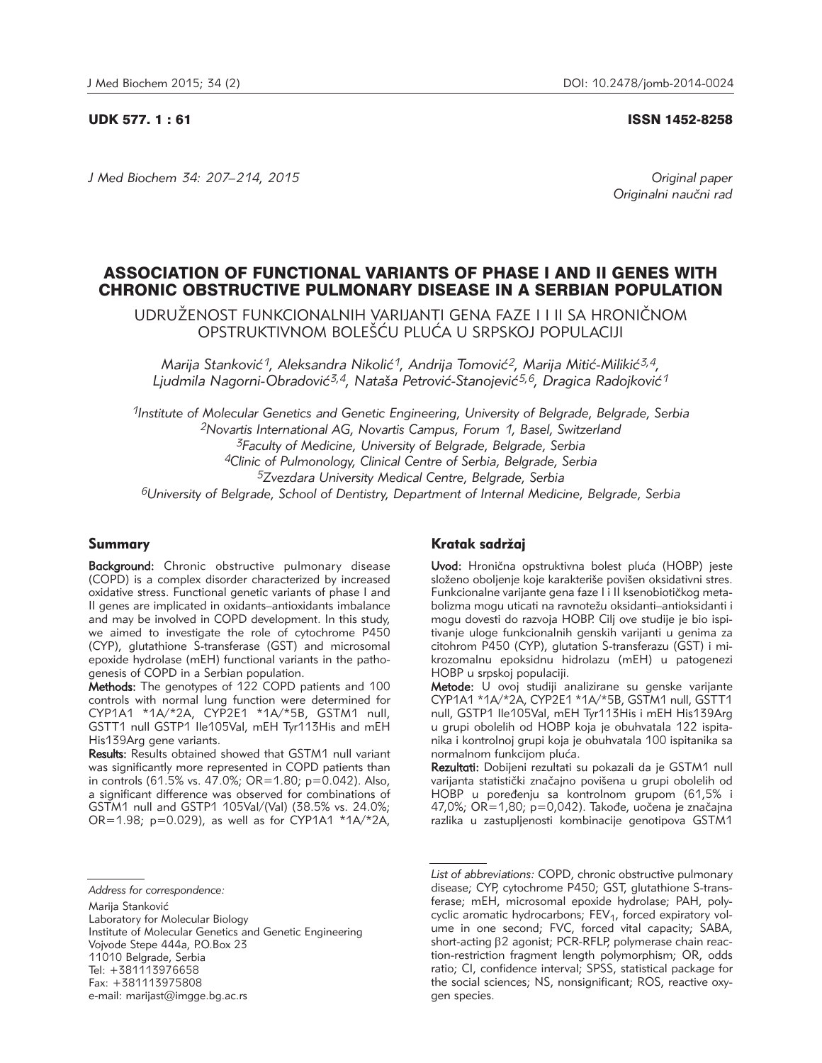#### UDK 577. 1 : 61 ISSN 1452-8258

*J Med Biochem 34: 207–214, 2015 Original paper*

Originalni naučni rad

# ASSOCIATION OF FUNCTIONAL VARIANTS OF PHASE I AND II GENES WITH CHRONIC OBSTRUCTIVE PULMONARY DISEASE IN A SERBIAN POPULATION

UDRUŽENOST FUNKCIONALNIH VARIJANTI GENA FAZE I I II SA HRONIČNOM OPSTRUKTIVNOM BOLEŠĆU PLUĆA U SRPSKOJ POPULACIJI

*Marija Stankovi}1, Aleksandra Nikoli}1, Andrija Tomovi}2, Marija Miti}-Miliki}3,4,*  Ljudmila Nagorni-Obradović<sup>3,4</sup>, Nataša Petrović-Stanojević<sup>5,6</sup>, Dragica Radojković<sup>1</sup>

*1Institute of Molecular Genetics and Genetic Engineering, University of Belgrade, Belgrade, Serbia 2Novartis International AG, Novartis Campus, Forum 1, Basel, Switzerland 3Faculty of Medicine, University of Belgrade, Belgrade, Serbia 4Clinic of Pulmonology, Clinical Centre of Serbia, Belgrade, Serbia 5Zvezdara University Medical Centre, Belgrade, Serbia 6University of Belgrade, School of Dentistry, Department of Internal Medicine, Belgrade, Serbia*

## Summary

Background: Chronic obstructive pulmonary disease (COPD) is a complex disorder characterized by increased oxidative stress. Functional genetic variants of phase I and II genes are implicated in oxidants–antioxidants imbalance and may be involved in COPD development. In this study, we aimed to investigate the role of cytochrome P450 (CYP), glutathione S-transferase (GST) and microsomal epoxide hydrolase (mEH) functional variants in the pathogenesis of COPD in a Serbian population.

Methods: The genotypes of 122 COPD patients and 100 controls with normal lung function were determined for CYP1A1 \*1A/\*2A, CYP2E1 \*1A/\*5B, GSTM1 null, GSTT1 null GSTP1 Ile105Val, mEH Tyr113His and mEH His139Arg gene variants.

Results: Results obtained showed that GSTM1 null variant was significantly more represented in COPD patients than in controls (61.5% vs. 47.0%; OR=1.80; p=0.042). Also, a significant difference was observed for combinations of GSTM1 null and GSTP1 105Val/(Val) (38.5% vs. 24.0%; OR=1.98; p=0.029), as well as for CYP1A1 \*1A/\*2A,

*Address for correspondence:* 

Marija Stanković Laboratory for Molecular Biology Institute of Molecular Genetics and Genetic Engineering Vojvode Stepe 444a, P.O.Box 23 11010 Belgrade, Serbia Tel: +381113976658 Fax: +381113975808 e-mail: marijast@imgge.bg.ac.rs

# Kratak sadržaj

Uvod: Hronična opstruktivna bolest pluća (HOBP) jeste složeno oboljenje koje karakteriše povišen oksidativni stres. Funkcionalne varijante gena faze I i II ksenobiotičkog metabolizma mogu uticati na ravnotežu oksidanti-antioksidanti i mogu dovesti do razvoja HOBP. Cilj ove studije je bio ispitivanje uloge funkcionalnih genskih varijanti u genima za citohrom P450 (CYP), glutation S-transferazu (GST) i mi kro zomalnu epoksidnu hidrolazu (mEH) u patogenezi HOBP u srpskoj populaciji.

Metode: U ovoj studiji analizirane su genske varijante CYP1A1 \*1A/\*2A, CYP2E1 \*1A/\*5B, GSTM1 null, GSTT1 null, GSTP1 Ile105Val, mEH Tyr113His i mEH His139Arg u grupi obolelih od HOBP koja je obuhvatala 122 ispitanika i kontrolnoj grupi koja je obuhvatala 100 ispitanika sa normalnom funkcijom pluća.

Rezultati: Dobijeni rezultati su pokazali da je GSTM1 null varijanta statistički značajno povišena u grupi obolelih od HOBP u poređenju sa kontrolnom grupom (61,5% i  $47,0\%$ ; OR=1,80; p=0,042). Takođe, uočena je značajna razlika u zastupljenosti kombinacije genotipova GSTM1

*List of abbreviations:* COPD, chronic obstructive pulmonary disease; CYP, cytochrome P450; GST, glutathione S-transferase; mEH, microsomal epoxide hydrolase; PAH, polycyclic aromatic hydrocarbons; FEV<sub>1</sub>, forced expiratory volume in one second; FVC, forced vital capacity; SABA, short-acting β2 agonist; PCR-RFLP, polymerase chain reac-<br>tion-restriction, fragment length, polymorphism: OR, odds tion-restriction fragment length polymorphism; OR, odds ratio; CI, confidence interval; SPSS, statistical package for the social sciences; NS, nonsignificant; ROS, reactive oxygen species.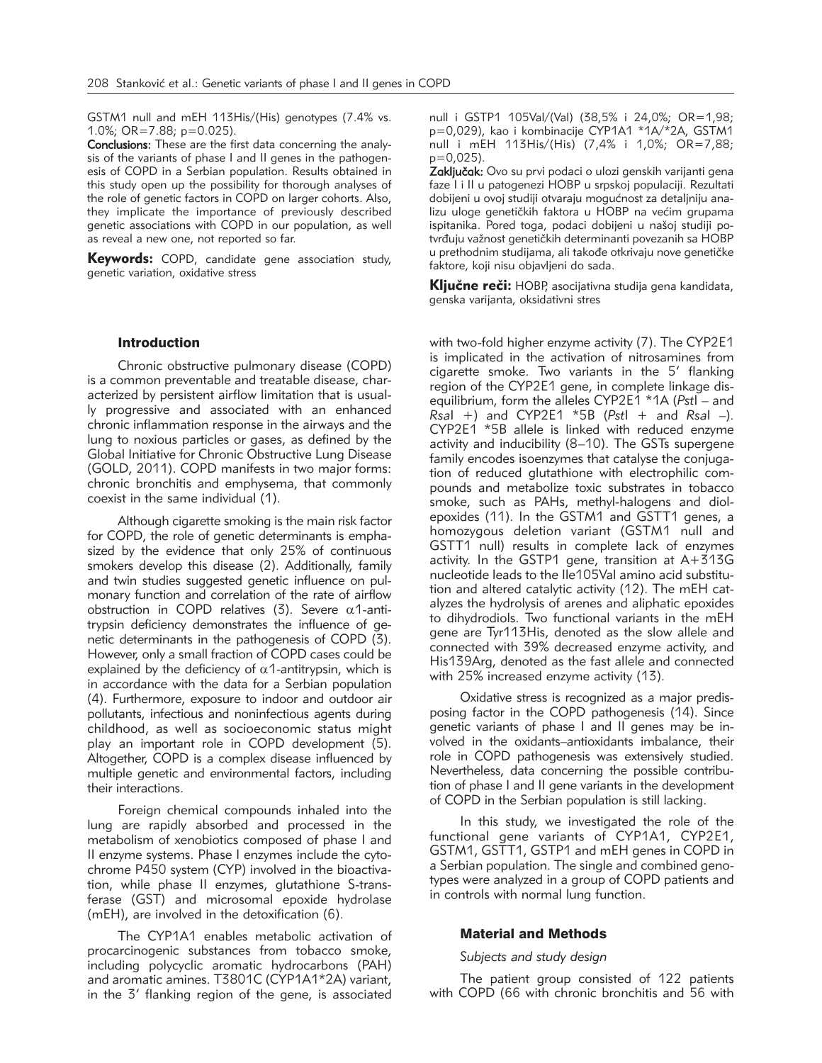GSTM1 null and mEH 113His/(His) genotypes (7.4% vs. 1.0%; OR=7.88; p=0.025).

Conclusions: These are the first data concerning the analysis of the variants of phase I and II genes in the pathogenesis of COPD in a Serbian population. Results obtained in this study open up the possibility for thorough analyses of the role of genetic factors in COPD on larger cohorts. Also, they implicate the importance of previously described genetic associations with COPD in our population, as well as reveal a new one, not reported so far.

Keywords: COPD, candidate gene association study, genetic variation, oxidative stress

#### **Introduction**

Chronic obstructive pulmonary disease (COPD) is a common preventable and treatable disease, characterized by persistent airflow limitation that is usually progressive and associated with an enhanced chronic inflammation response in the airways and the lung to noxious particles or gases, as defined by the Global Initiative for Chronic Obstructive Lung Disease (GOLD, 2011). COPD manifests in two major forms: chronic bronchitis and emphysema, that commonly coexist in the same individual (1).

Although cigarette smoking is the main risk factor for COPD, the role of genetic determinants is emphasized by the evidence that only 25% of continuous smokers develop this disease (2). Additionally, family and twin studies suggested genetic influence on pulmonary function and correlation of the rate of airflow obstruction in COPD relatives (3). Severe  $\alpha$ 1-antitrypsin deficiency demonstrates the influence of genetic determinants in the pathogenesis of COPD (3). However, only a small fraction of COPD cases could be explained by the deficiency of  $\alpha$ 1-antitrypsin, which is in accordance with the data for a Serbian population (4). Furthermore, exposure to indoor and outdoor air pollutants, infectious and noninfectious agents during childhood, as well as socioeconomic status might play an important role in COPD development (5). Altogether, COPD is a complex disease influenced by multiple genetic and environmental factors, including their interactions.

Foreign chemical compounds inhaled into the lung are rapidly absorbed and processed in the metabolism of xenobiotics composed of phase I and II enzyme systems. Phase I enzymes include the cytochrome P450 system (CYP) involved in the bioactivation, while phase II enzymes, glutathione S-transferase (GST) and microsomal epoxide hydrolase (mEH), are involved in the detoxification (6).

The CYP1A1 enables metabolic activation of procarcinogenic substances from tobacco smoke, including polycyclic aromatic hydrocarbons (PAH) and aromatic amines. T3801C (CYP1A1\*2A) variant, in the 3' flanking region of the gene, is associated

null i GSTP1 105Val/(Val) (38,5% i 24,0%; OR=1,98; p=0,029), kao i kombinacije CYP1A1 \*1A/\*2A, GSTM1 null i mEH 113His/(His) (7,4% i 1,0%; OR=7,88;  $p=0,025$ ).

Zaključak: Ovo su prvi podaci o ulozi genskih varijanti gena faze I i II u patogenezi HOBP u srpskoj populaciji. Rezultati dobijeni u ovoj studiji otvaraju mogućnost za detaljniju analizu uloge genetičkih faktora u HOBP na većim grupama ispitanika. Pored toga, podaci dobijeni u našoj studiji potvrđuju važnost genetičkih determinanti povezanih sa HOBP u prethodnim studijama, ali takođe otkrivaju nove genetičke faktore, koji nisu objavljeni do sada.

Ključne reči: HOBP, asocijativna studija gena kandidata, genska varijanta, oksidativni stres

with two-fold higher enzyme activity (7). The CYP2E1 is implicated in the activation of nitrosamines from cigarette smoke. Two variants in the 5' flanking region of the CYP2E1 gene, in complete linkage disequilibrium, form the alleles CYP2E1 \*1A (*Pst*I – and *Rsa*I +) and CYP2E1 \*5B (*Pst*I + and *Rsa*I –). CYP2E1 \*5B allele is linked with reduced enzyme activity and inducibility (8–10). The GSTs supergene family encodes isoenzymes that catalyse the conjugation of reduced glutathione with electrophilic compounds and metabolize toxic substrates in tobacco smoke, such as PAHs, methyl-halogens and diolepoxides (11). In the GSTM1 and GSTT1 genes, a homozygous deletion variant (GSTM1 null and GSTT1 null) results in complete lack of enzymes activity. In the GSTP1 gene, transition at A+313G nucleotide leads to the Ile105Val amino acid substitution and altered catalytic activity (12). The mEH catalyzes the hydrolysis of arenes and aliphatic epoxides to dihydrodiols. Two functional variants in the mEH gene are Tyr113His, denoted as the slow allele and connected with 39% decreased enzyme activity, and His139Arg, denoted as the fast allele and connected with 25% increased enzyme activity (13).

Oxidative stress is recognized as a major predisposing factor in the COPD pathogenesis (14). Since genetic variants of phase I and II genes may be involved in the oxidants–antioxidants imbalance, their role in COPD pathogenesis was extensively studied. Nevertheless, data concerning the possible contribution of phase I and II gene variants in the development of COPD in the Serbian population is still lacking.

In this study, we investigated the role of the functional gene variants of CYP1A1, CYP2E1, GSTM1, GSTT1, GSTP1 and mEH genes in COPD in a Serbian population. The single and combined genotypes were analyzed in a group of COPD patients and in controls with normal lung function.

#### Material and Methods

### *Subjects and study design*

The patient group consisted of 122 patients with COPD (66 with chronic bronchitis and 56 with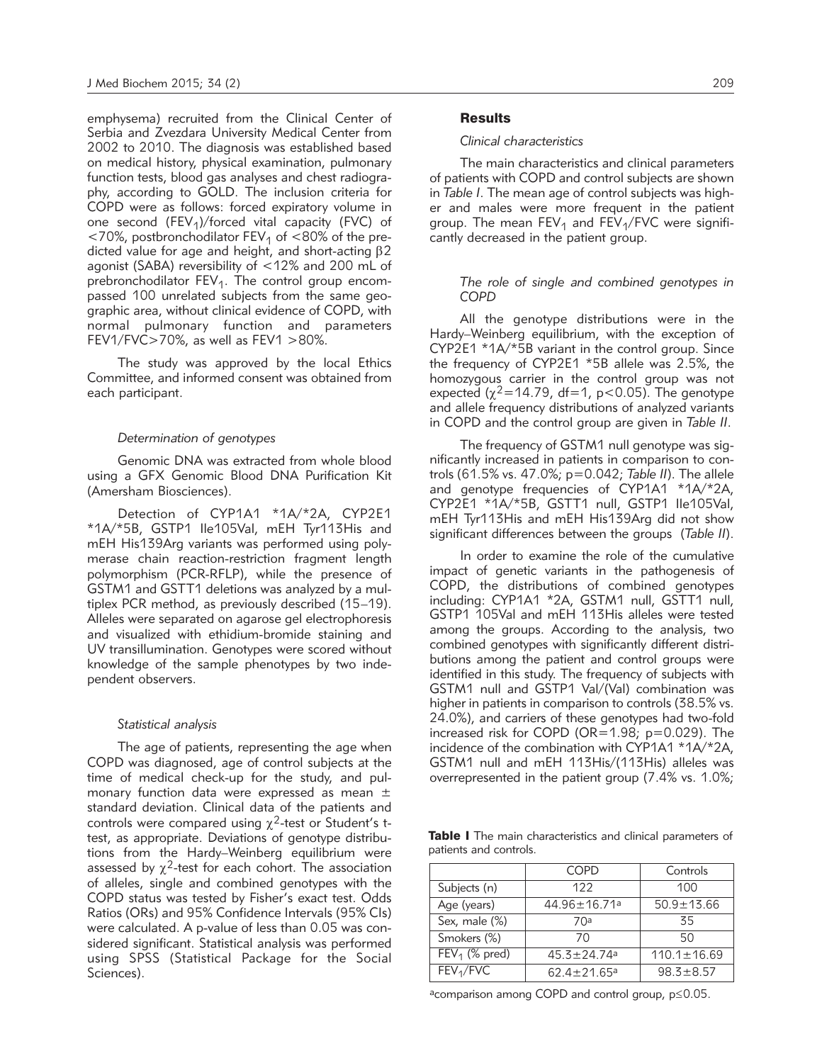emphysema) recruited from the Clinical Center of Serbia and Zvezdara University Medical Center from 2002 to 2010. The diagnosis was established based on medical history, physical examination, pulmonary function tests, blood gas analyses and chest radiography, according to GOLD. The inclusion criteria for COPD were as follows: forced expiratory volume in one second  $(FEV_1)/$ forced vital capacity (FVC) of <70%, postbronchodilator  $FEV<sub>1</sub>$  of <80% of the predicted value for age and height, and short-acting  $\beta$ 2 agonist (SABA) reversibility of <12% and 200 mL of prebronchodilator  $FEV<sub>1</sub>$ . The control group encompassed 100 unrelated subjects from the same geographic area, without clinical evidence of COPD, with normal pulmonary function and parameters FEV1/FVC>70%, as well as FEV1 >80%.

The study was approved by the local Ethics Com mittee, and informed consent was obtained from each participant.

#### *Determination of genotypes*

Genomic DNA was extracted from whole blood using a GFX Genomic Blood DNA Purification Kit (Amersham Biosciences).

Detection of CYP1A1 \*1A/\*2A, CYP2E1 \*1A/\*5B, GSTP1 Ile105Val, mEH Tyr113His and mEH His139Arg variants was performed using polymerase chain reaction-restriction fragment length polymorphism (PCR-RFLP), while the presence of GSTM1 and GSTT1 deletions was analyzed by a multiplex PCR method, as previously described (15–19). Alleles were separated on agarose gel electrophoresis and visualized with ethidium-bromide staining and UV transillumination. Genotypes were scored without knowledge of the sample phenotypes by two independent observers.

#### *Statistical analysis*

The age of patients, representing the age when COPD was diagnosed, age of control subjects at the time of medical check-up for the study, and pulmonary function data were expressed as mean ± standard deviation. Clinical data of the patients and controls were compared using  $\chi^2$ -test or Student's ttest, as appropriate. Deviations of genotype distributions from the Hardy–Weinberg equilibrium were assessed by  $\chi^2$ -test for each cohort. The association of alleles, single and combined genotypes with the COPD status was tested by Fisher's exact test. Odds Ratios (ORs) and 95% Confidence Intervals (95% CIs) were calculated. A p-value of less than 0.05 was considered significant. Statistical analysis was performed using SPSS (Statistical Package for the Social Sciences).

# **Results**

#### *Clinical characteristics*

The main characteristics and clinical parameters of patients with COPD and control subjects are shown in *Table I*. The mean age of control subjects was higher and males were more frequent in the patient group. The mean  $FEV_1$  and  $FEV_1/FVC$  were significantly decreased in the patient group.

### *The role of single and combined genotypes in COPD*

All the genotype distributions were in the Hardy–Weinberg equilibrium, with the exception of CYP2E1 \*1A/\*5B variant in the control group. Since the frequency of CYP2E1 \*5B allele was 2.5%, the homozygous carrier in the control group was not expected ( $\chi^2$ =14.79, df=1, p<0.05). The genotype and allele frequency distributions of analyzed variants in COPD and the control group are given in *Table II*.

The frequency of GSTM1 null genotype was significantly increased in patients in comparison to controls (61.5% vs. 47.0%; p=0.042; *Table II*). The allele and genotype frequencies of CYP1A1 \*1A/\*2A, CYP2E1 \*1A/\*5B, GSTT1 null, GSTP1 Ile105Val, mEH Tyr113His and mEH His139Arg did not show significant differences between the groups (*Table II*).

In order to examine the role of the cumulative impact of genetic variants in the pathogenesis of COPD, the distributions of combined genotypes including: CYP1A1 \*2A, GSTM1 null, GSTT1 null, GSTP1 105Val and mEH 113His alleles were tested among the groups. According to the analysis, two combined genotypes with significantly different distributions among the patient and control groups were identified in this study. The frequency of subjects with GSTM1 null and GSTP1 Val/(Val) combination was higher in patients in comparison to controls (38.5% vs. 24.0%), and carriers of these genotypes had two-fold increased risk for COPD ( $OR=1.98$ ;  $p=0.029$ ). The incidence of the combination with CYP1A1 \*1A/\*2A, GSTM1 null and mEH 113His/(113His) alleles was overrepresented in the patient group (7.4% vs. 1.0%;

Table I The main characteristics and clinical parameters of patients and controls.

|                       | <b>COPD</b>                   | Controls          |
|-----------------------|-------------------------------|-------------------|
| Subjects (n)          | 122                           | 100               |
| Age (years)           | 44.96±16.71ª                  | $50.9 \pm 13.66$  |
| Sex, male (%)         | 70a                           | 35                |
| Smokers (%)           | 70                            | 50                |
| $FEV1$ (% pred)       | $45.3 + 24.74$ a              | $110.1 \pm 16.69$ |
| FEV <sub>1</sub> /FVC | $62.4 \pm 21.65$ <sup>a</sup> | $98.3 + 8.57$     |

acomparison among COPD and control group, p≤0.05.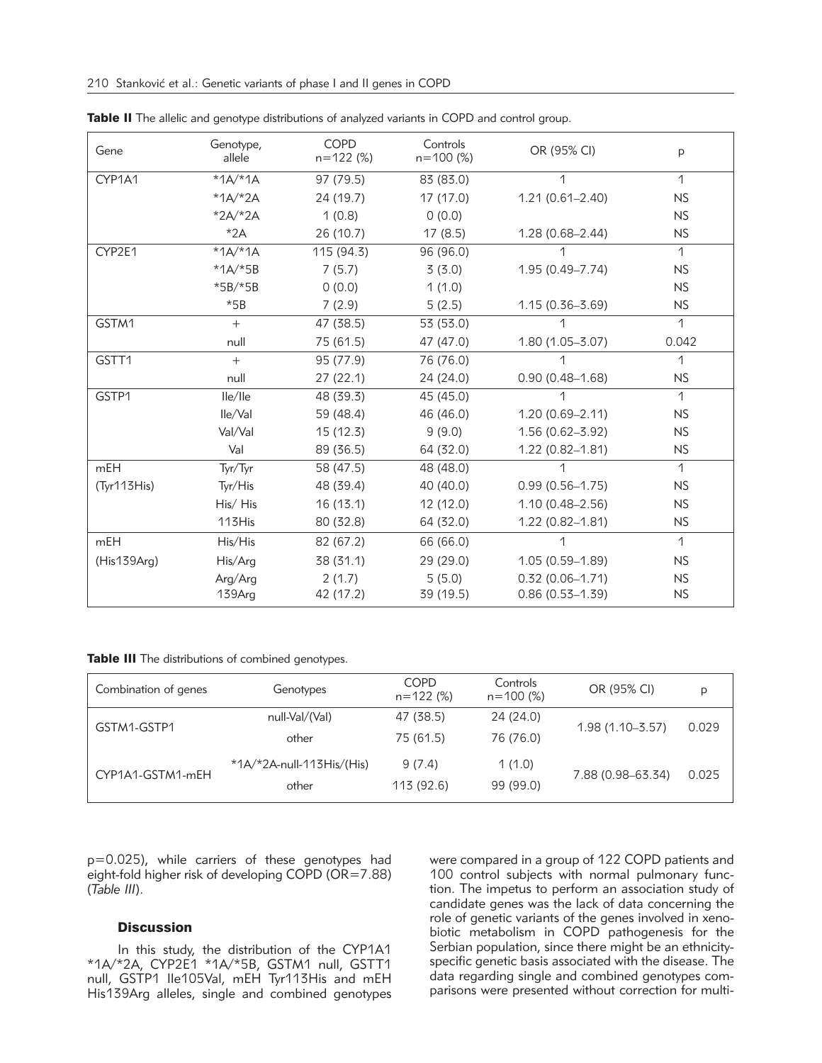| Gene        | Genotype,<br>allele | COPD<br>$n = 122$ (%) | Controls<br>$n = 100$ (%) | OR (95% CI)         | p             |
|-------------|---------------------|-----------------------|---------------------------|---------------------|---------------|
| CYP1A1      | * $1A/*1A$          | 97 (79.5)             | 83 (83.0)                 | 1                   | 1             |
|             | *1A/*2A             | 24 (19.7)             | 17(17.0)                  | $1.21(0.61 - 2.40)$ | <b>NS</b>     |
|             | $*2A/*2A$           | 1(0.8)                | 0(0.0)                    |                     | <b>NS</b>     |
|             | $*2A$               | 26 (10.7)             | 17(8.5)                   | $1.28(0.68 - 2.44)$ | <b>NS</b>     |
| CYP2E1      | * $1A/*1A$          | 115 (94.3)            | 96 (96.0)                 |                     | 1             |
|             | * $1A$ /*5B         | 7(5.7)                | 3(3.0)                    | $1.95(0.49 - 7.74)$ | NS.           |
|             | $*5B/*5B$           | 0(0.0)                | 1(1.0)                    |                     | <b>NS</b>     |
|             | $*5B$               | 7(2.9)                | 5(2.5)                    | $1.15(0.36 - 3.69)$ | <b>NS</b>     |
| GSTM1       | $+$                 | 47 (38.5)             | 53 (53.0)                 | 1                   | 1             |
|             | null                | 75 (61.5)             | 47 (47.0)                 | $1.80(1.05 - 3.07)$ | 0.042         |
| GSTT1       | $+$                 | 95 (77.9)             | 76 (76.0)                 | 1                   | 1             |
|             | null                | 27(22.1)              | 24 (24.0)                 | $0.90(0.48 - 1.68)$ | <b>NS</b>     |
| GSTP1       | lle/lle             | 48 (39.3)             | 45 (45.0)                 | 1                   | 1             |
|             | Ile/Val             | 59 (48.4)             | 46 (46.0)                 | $1.20(0.69 - 2.11)$ | <b>NS</b>     |
|             | Val/Val             | 15(12.3)              | 9(9.0)                    | $1.56(0.62 - 3.92)$ | <b>NS</b>     |
|             | Val                 | 89 (36.5)             | 64 (32.0)                 | $1.22(0.82 - 1.81)$ | NS.           |
| mEH         | Tyr/Tyr             | 58 (47.5)             | 48 (48.0)                 |                     | $\mathcal{L}$ |
| (Tyr113His) | Tyr/His             | 48 (39.4)             | 40 (40.0)                 | $0.99(0.56 - 1.75)$ | <b>NS</b>     |
|             | His/His             | 16(13.1)              | 12(12.0)                  | $1.10(0.48 - 2.56)$ | <b>NS</b>     |
|             | 113His              | 80 (32.8)             | 64 (32.0)                 | $1.22(0.82 - 1.81)$ | <b>NS</b>     |
| mEH         | His/His             | 82 (67.2)             | 66 (66.0)                 |                     | 1             |
| (His139Arg) | His/Arg             | 38 (31.1)             | 29(29.0)                  | $1.05(0.59 - 1.89)$ | <b>NS</b>     |
|             | Arg/Arg             | 2(1.7)                | 5(5.0)                    | $0.32(0.06 - 1.71)$ | <b>NS</b>     |
|             | 139Arg              | 42 (17.2)             | 39 (19.5)                 | $0.86(0.53 - 1.39)$ | <b>NS</b>     |

|  | Table II The allelic and genotype distributions of analyzed variants in COPD and control group. |  |  |
|--|-------------------------------------------------------------------------------------------------|--|--|
|--|-------------------------------------------------------------------------------------------------|--|--|

Table III The distributions of combined genotypes.

| Combination of genes | Genotypes                          | <b>COPD</b><br>$n = 122$ (%) | Controls<br>$n = 100$ (%) | OR (95% CI)         | D     |
|----------------------|------------------------------------|------------------------------|---------------------------|---------------------|-------|
| GSTM1-GSTP1          | null-Val/(Val)<br>other            | 47 (38.5)<br>75 (61.5)       | 24 (24.0)<br>76 (76.0)    | $1.98(1.10 - 3.57)$ | 0.029 |
| CYP1A1-GSTM1-mEH     | *1A/*2A-null-113His/(His)<br>other | 9(7.4)<br>113 (92.6)         | 1(1.0)<br>99 (99.0)       | 7.88 (0.98-63.34)   | 0.025 |

p=0.025), while carriers of these genotypes had eight-fold higher risk of developing COPD (OR=7.88) (*Table III*).

# **Discussion**

In this study, the distribution of the CYP1A1 \*1A/\*2A, CYP2E1 \*1A/\*5B, GSTM1 null, GSTT1 null, GSTP1 Ile105Val, mEH Tyr113His and mEH His139Arg alleles, single and combined genotypes

were compared in a group of 122 COPD patients and 100 control subjects with normal pulmonary function. The impetus to perform an association study of candidate genes was the lack of data concerning the role of genetic variants of the genes involved in xenobiotic metabolism in COPD pathogenesis for the Serbian population, since there might be an ethnicityspecific genetic basis associated with the disease. The data regarding single and combined genotypes comparisons were presented without correction for multi-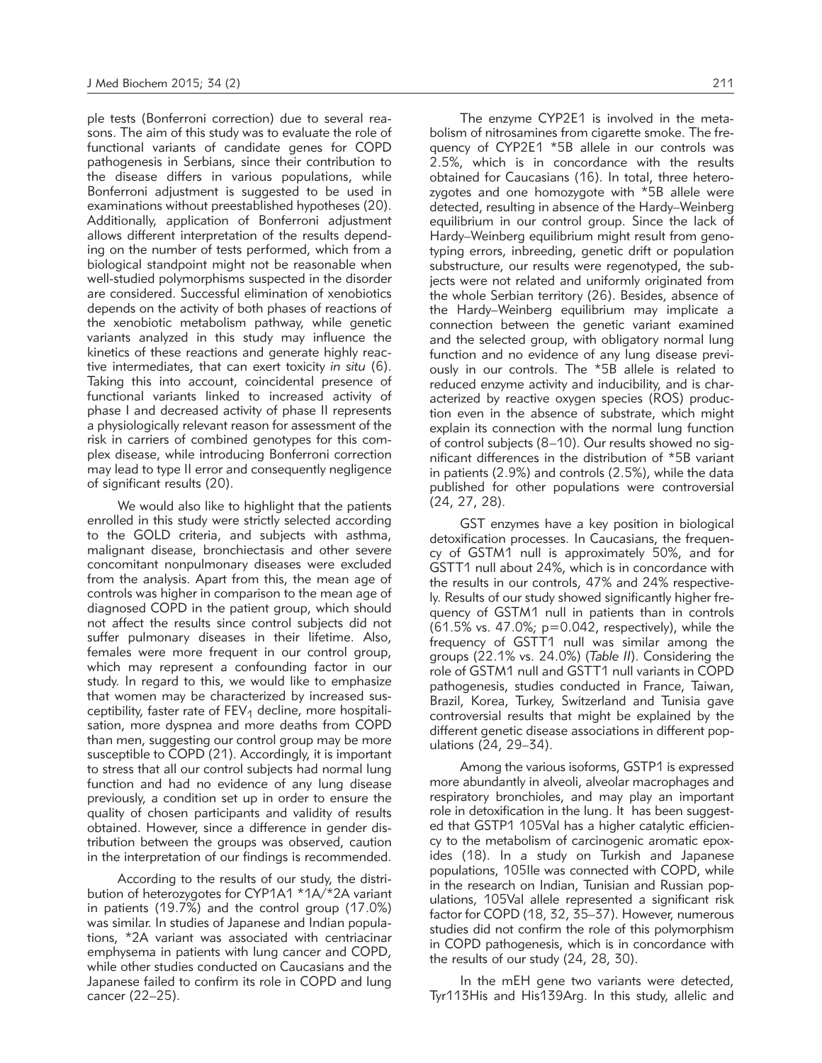ple tests (Bonferroni correction) due to several reasons. The aim of this study was to evaluate the role of functional variants of candidate genes for COPD pathogenesis in Serbians, since their contribution to the disease differs in various populations, while Bonferroni adjustment is suggested to be used in examinations without preestablished hypotheses (20). Additionally, application of Bonferroni adjustment allows different interpretation of the results depending on the number of tests performed, which from a biological standpoint might not be reasonable when well-studied polymorphisms suspected in the disorder are considered. Successful elimination of xenobiotics depends on the activity of both phases of reactions of the xenobiotic metabolism pathway, while genetic variants analyzed in this study may influence the kinetics of these reactions and generate highly reactive intermediates, that can exert toxicity *in situ* (6). Taking this into account, coincidental presence of functional variants linked to increased activity of phase I and decreased activity of phase II represents a physiologically relevant reason for assessment of the risk in carriers of combined genotypes for this complex disease, while introducing Bonferroni correction may lead to type II error and consequently negligence of significant results (20).

We would also like to highlight that the patients enrolled in this study were strictly selected according to the GOLD criteria, and subjects with asthma, malignant disease, bronchiectasis and other severe concomitant nonpulmonary diseases were excluded from the analysis. Apart from this, the mean age of controls was higher in comparison to the mean age of diagnosed COPD in the patient group, which should not affect the results since control subjects did not suffer pulmonary diseases in their lifetime. Also, females were more frequent in our control group, which may represent a confounding factor in our study. In regard to this, we would like to emphasize that women may be characterized by increased susceptibility, faster rate of  $FEV<sub>1</sub>$  decline, more hospitalisation, more dyspnea and more deaths from COPD than men, suggesting our control group may be more susceptible to COPD (21). Accordingly, it is important to stress that all our control subjects had normal lung function and had no evidence of any lung disease previously, a condition set up in order to ensure the quality of chosen participants and validity of results obtained. However, since a difference in gender distribution between the groups was observed, caution in the interpretation of our findings is recommended.

According to the results of our study, the distribution of heterozygotes for CYP1A1 \*1A/\*2A variant in patients (19.7%) and the control group (17.0%) was similar. In studies of Japanese and Indian populations, \*2A variant was associated with centriacinar emphysema in patients with lung cancer and COPD, while other studies conducted on Caucasians and the Japanese failed to confirm its role in COPD and lung cancer (22–25).

The enzyme CYP2E1 is involved in the metabolism of nitrosamines from cigarette smoke. The frequency of CYP2E1 \*5B allele in our controls was 2.5%, which is in concordance with the results obtained for Caucasians (16). In total, three heterozygotes and one homozygote with \*5B allele were detected, resulting in absence of the Hardy–Weinberg equilibrium in our control group. Since the lack of Hardy–Weinberg equilibrium might result from genotyping errors, inbreeding, genetic drift or population substructure, our results were regenotyped, the subjects were not related and uniformly originated from the whole Serbian territory (26). Besides, absence of the Hardy–Weinberg equilibrium may implicate a connection between the genetic variant examined and the selected group, with obligatory normal lung function and no evidence of any lung disease previously in our controls. The \*5B allele is related to reduced enzyme activity and inducibility, and is characterized by reactive oxygen species (ROS) production even in the absence of substrate, which might explain its connection with the normal lung function of control subjects (8–10). Our results showed no significant differences in the distribution of \*5B variant in patients (2.9%) and controls (2.5%), while the data published for other populations were controversial (24, 27, 28).

GST enzymes have a key position in biological detoxification processes. In Caucasians, the frequency of GSTM1 null is approximately 50%, and for GSTT1 null about 24%, which is in concordance with the results in our controls, 47% and 24% respectively. Results of our study showed significantly higher frequency of GSTM1 null in patients than in controls (61.5% vs. 47.0%; p=0.042, respectively), while the frequency of GSTT1 null was similar among the groups (22.1% vs. 24.0%) (*Table II*). Considering the role of GSTM1 null and GSTT1 null variants in COPD pathogenesis, studies conducted in France, Taiwan, Brazil, Korea, Turkey, Switzerland and Tunisia gave controversial results that might be explained by the different genetic disease associations in different populations (24, 29–34).

Among the various isoforms, GSTP1 is expressed more abundantly in alveoli, alveolar macrophages and respiratory bronchioles, and may play an important role in detoxification in the lung. It has been suggested that GSTP1 105Val has a higher catalytic efficiency to the metabolism of carcinogenic aromatic epoxides (18). In a study on Turkish and Japanese populations, 105Ile was connected with COPD, while in the research on Indian, Tunisian and Russian populations, 105Val allele represented a significant risk factor for COPD (18, 32, 35–37). However, numerous studies did not confirm the role of this polymorphism in COPD pathogenesis, which is in concordance with the results of our study (24, 28, 30).

In the mEH gene two variants were detected, Tyr113His and His139Arg. In this study, allelic and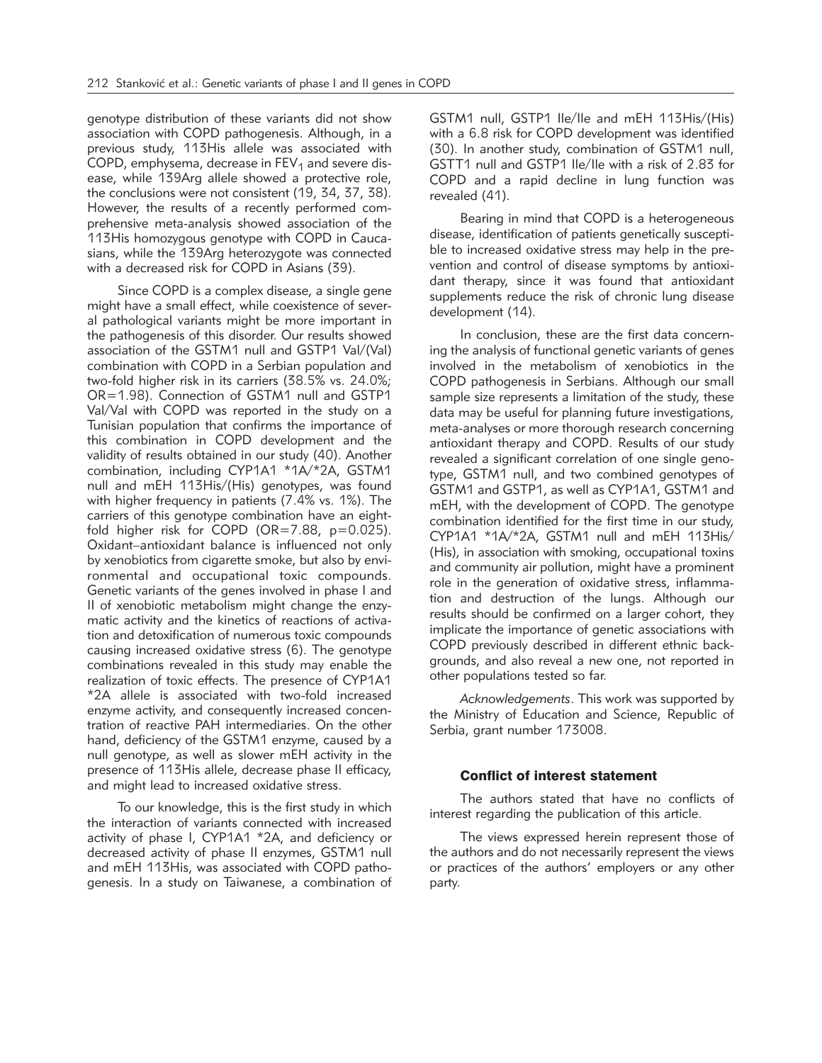genotype distribution of these variants did not show association with COPD pathogenesis. Although, in a previous study, 113His allele was associated with COPD, emphysema, decrease in  $FEV<sub>1</sub>$  and severe disease, while 139Arg allele showed a protective role, the conclusions were not consistent (19, 34, 37, 38). However, the results of a recently performed comprehensive meta-analysis showed association of the 113His homozygous genotype with COPD in Caucasians, while the 139Arg heterozygote was connected with a decreased risk for COPD in Asians (39).

Since COPD is a complex disease, a single gene might have a small effect, while coexistence of several pathological variants might be more important in the pathogenesis of this disorder. Our results showed association of the GSTM1 null and GSTP1 Val/(Val) combination with COPD in a Serbian population and two-fold higher risk in its carriers (38.5% vs. 24.0%; OR=1.98). Connection of GSTM1 null and GSTP1 Val/Val with COPD was reported in the study on a Tunisian population that confirms the importance of this combination in COPD development and the validity of results obtained in our study (40). Another combination, including CYP1A1 \*1A/\*2A, GSTM1 null and mEH 113His/(His) genotypes, was found with higher frequency in patients (7.4% vs. 1%). The carriers of this genotype combination have an eightfold higher risk for COPD (OR=7.88, p=0.025). Oxidant–antioxidant balance is influenced not only by xenobiotics from cigarette smoke, but also by environmental and occupational toxic compounds. Genetic variants of the genes involved in phase I and II of xenobiotic metabolism might change the enzymatic activity and the kinetics of reactions of activation and detoxification of numerous toxic compounds causing increased oxidative stress (6). The genotype combinations revealed in this study may enable the realization of toxic effects. The presence of CYP1A1 \*2A allele is associated with two-fold increased enzyme activity, and consequently increased concentration of reactive PAH intermediaries. On the other hand, deficiency of the GSTM1 enzyme, caused by a null genotype, as well as slower mEH activity in the presence of 113His allele, decrease phase II efficacy, and might lead to increased oxidative stress.

To our knowledge, this is the first study in which the interaction of variants connected with increased activity of phase I, CYP1A1 \*2A, and deficiency or decreased activity of phase II enzymes, GSTM1 null and mEH 113His, was associated with COPD pathogenesis. In a study on Taiwanese, a combination of GSTM1 null, GSTP1 Ile/Ile and mEH 113His/(His) with a 6.8 risk for COPD development was identified (30). In another study, combination of GSTM1 null, GSTT1 null and GSTP1 Ile/Ile with a risk of 2.83 for COPD and a rapid decline in lung function was revealed (41).

Bearing in mind that COPD is a heterogeneous disease, identification of patients genetically susceptible to increased oxidative stress may help in the prevention and control of disease symptoms by antioxidant therapy, since it was found that antioxidant supplements reduce the risk of chronic lung disease development (14).

In conclusion, these are the first data concerning the analysis of functional genetic variants of genes involved in the metabolism of xenobiotics in the COPD pathogenesis in Serbians. Although our small sample size represents a limitation of the study, these data may be useful for planning future investigations, meta-analyses or more thorough research concerning antioxidant therapy and COPD. Results of our study revealed a significant correlation of one single genotype, GSTM1 null, and two combined genotypes of GSTM1 and GSTP1, as well as CYP1A1, GSTM1 and mEH, with the development of COPD. The genotype combination identified for the first time in our study, CYP1A1 \*1A/\*2A, GSTM1 null and mEH 113His/ (His), in association with smoking, occupational toxins and community air pollution, might have a prominent role in the generation of oxidative stress, inflammation and destruction of the lungs. Although our results should be confirmed on a larger cohort, they implicate the importance of genetic associations with COPD previously described in different ethnic backgrounds, and also reveal a new one, not reported in other populations tested so far.

*Acknowledgements*. This work was supported by the Ministry of Education and Science, Republic of Serbia, grant number 173008.

#### Conflict of interest statement

The authors stated that have no conflicts of interest regarding the publication of this article.

The views expressed herein represent those of the authors and do not necessarily represent the views or practices of the authors' employers or any other party.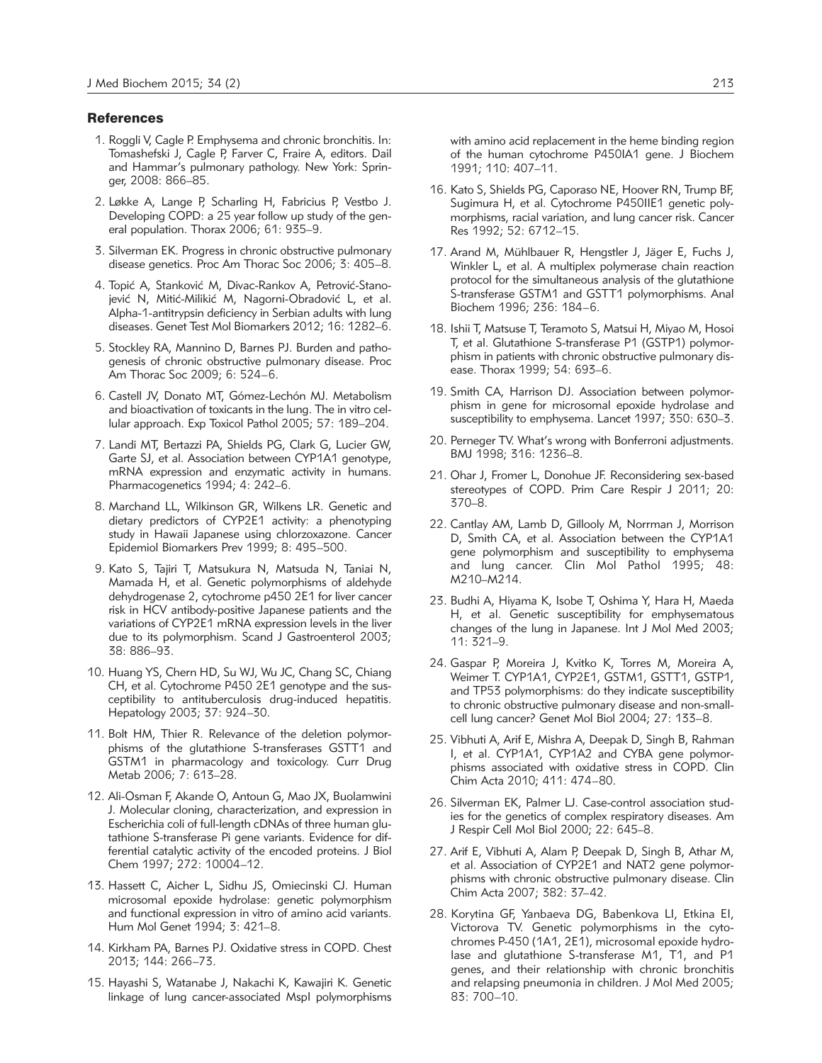#### **References**

- 1. Roggli V, Cagle P. Emphysema and chronic bronchitis. In: Tomashefski J, Cagle P, Farver C, Fraire A, editors. Dail and Hammar's pulmonary pathology. New York: Springer, 2008: 866–85.
- 2. Løkke A, Lange P, Scharling H, Fabricius P, Vestbo J. Developing COPD: a 25 year follow up study of the general population. Thorax 2006; 61: 935–9.
- 3. Silverman EK. Progress in chronic obstructive pulmonary disease genetics. Proc Am Thorac Soc 2006; 3: 405–8.
- 4. Topić A, Stanković M, Divac-Rankov A, Petrović-Stanojević N, Mitić-Milikić M, Nagorni-Obradović L, et al. Alpha-1-antitrypsin deficiency in Serbian adults with lung diseases. Genet Test Mol Biomarkers 2012; 16: 1282–6.
- 5. Stockley RA, Mannino D, Barnes PJ. Burden and pathogenesis of chronic obstructive pulmonary disease. Proc Am Thorac Soc 2009; 6: 524–6.
- 6. Castell JV, Donato MT, Gómez-Lechón MJ. Metabolism and bioactivation of toxicants in the lung. The in vitro cellular approach. Exp Toxicol Pathol 2005; 57: 189–204.
- 7. Landi MT, Bertazzi PA, Shields PG, Clark G, Lucier GW, Garte SJ, et al. Association between CYP1A1 genotype, mRNA expression and enzymatic activity in humans. Pharmacogenetics 1994; 4: 242–6.
- 8. Marchand LL, Wilkinson GR, Wilkens LR. Genetic and dietary predictors of CYP2E1 activity: a phenotyping study in Hawaii Japanese using chlorzoxazone. Cancer Epidemiol Biomarkers Prev 1999; 8: 495–500.
- 9. Kato S, Tajiri T, Matsukura N, Matsuda N, Taniai N, Mamada H, et al. Genetic polymorphisms of aldehyde dehydrogenase 2, cytochrome p450 2E1 for liver cancer risk in HCV antibody-positive Japanese patients and the variations of CYP2E1 mRNA expression levels in the liver due to its polymorphism. Scand J Gastroenterol 2003; 38: 886–93.
- 10. Huang YS, Chern HD, Su WJ, Wu JC, Chang SC, Chiang CH, et al. Cytochrome P450 2E1 genotype and the susceptibility to antituberculosis drug-induced hepatitis. Hepatology 2003; 37: 924–30.
- 11. Bolt HM, Thier R. Relevance of the deletion polymorphisms of the glutathione S-transferases GSTT1 and GSTM1 in pharmacology and toxicology. Curr Drug Metab 2006; 7: 613–28.
- 12. Ali-Osman F, Akande O, Antoun G, Mao JX, Buolamwini J. Molecular cloning, characterization, and expression in Escherichia coli of full-length cDNAs of three human glutathione S-transferase Pi gene variants. Evidence for differential catalytic activity of the encoded proteins. J Biol Chem 1997; 272: 10004–12.
- 13. Hassett C, Aicher L, Sidhu JS, Omiecinski CJ. Human microsomal epoxide hydrolase: genetic polymorphism and functional expression in vitro of amino acid variants. Hum Mol Genet 1994; 3: 421–8.
- 14. Kirkham PA, Barnes PJ. Oxidative stress in COPD. Chest 2013; 144: 266–73.
- 15. Hayashi S, Watanabe J, Nakachi K, Kawajiri K. Genetic linkage of lung cancer-associated MspI polymorphisms

with amino acid replacement in the heme binding region of the human cytochrome P450IA1 gene. J Biochem 1991; 110: 407–11.

- 16. Kato S, Shields PG, Caporaso NE, Hoover RN, Trump BF, Sugimura H, et al. Cytochrome P450IIE1 genetic polymorphisms, racial variation, and lung cancer risk. Cancer Res 1992; 52: 6712–15.
- 17. Arand M, Mühlbauer R, Hengstler J, Jäger E, Fuchs J, Winkler L, et al. A multiplex polymerase chain reaction protocol for the simultaneous analysis of the glutathione S-transferase GSTM1 and GSTT1 polymorphisms. Anal Biochem 1996; 236: 184–6.
- 18. Ishii T, Matsuse T, Teramoto S, Matsui H, Miyao M, Hosoi T, et al. Glutathione S-transferase P1 (GSTP1) polymorphism in patients with chronic obstructive pulmonary disease. Thorax 1999; 54: 693–6.
- 19. Smith CA, Harrison DJ. Association between polymorphism in gene for microsomal epoxide hydrolase and susceptibility to emphysema. Lancet 1997; 350: 630–3.
- 20. Perneger TV. What's wrong with Bonferroni adjustments. BMJ 1998; 316: 1236–8.
- 21. Ohar J, Fromer L, Donohue JF. Reconsidering sex-based stereotypes of COPD. Prim Care Respir J 2011; 20: 370–8.
- 22. Cantlay AM, Lamb D, Gillooly M, Norrman J, Morrison D, Smith CA, et al. Association between the CYP1A1 gene polymorphism and susceptibility to emphysema and lung cancer. Clin Mol Pathol 1995; 48: M210–M214.
- 23. Budhi A, Hiyama K, Isobe T, Oshima Y, Hara H, Maeda H, et al. Genetic susceptibility for emphysematous changes of the lung in Japanese. Int J Mol Med 2003; 11: 321–9.
- 24. Gaspar P, Moreira J, Kvitko K, Torres M, Moreira A, Weimer T. CYP1A1, CYP2E1, GSTM1, GSTT1, GSTP1, and TP53 polymorphisms: do they indicate susceptibility to chronic obstructive pulmonary disease and non-smallcell lung cancer? Genet Mol Biol 2004; 27: 133–8.
- 25. Vibhuti A, Arif E, Mishra A, Deepak D, Singh B, Rahman I, et al. CYP1A1, CYP1A2 and CYBA gene polymorphisms associated with oxidative stress in COPD. Clin Chim Acta 2010; 411: 474–80.
- 26. Silverman EK, Palmer LJ. Case-control association studies for the genetics of complex respiratory diseases. Am J Respir Cell Mol Biol 2000; 22: 645–8.
- 27. Arif E, Vibhuti A, Alam P, Deepak D, Singh B, Athar M, et al. Association of CYP2E1 and NAT2 gene polymorphisms with chronic obstructive pulmonary disease. Clin Chim Acta 2007; 382: 37–42.
- 28. Korytina GF, Yanbaeva DG, Babenkova LI, Etkina EI, Victorova TV. Genetic polymorphisms in the cytochromes P-450 (1A1, 2E1), microsomal epoxide hydrolase and glutathione S-transferase M1, T1, and P1 genes, and their relationship with chronic bronchitis and relapsing pneumonia in children. J Mol Med 2005; 83: 700–10.